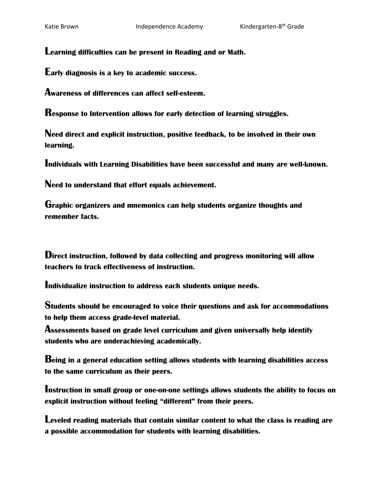**Learning difficulties can be present in Reading and or Math.**

**Early diagnosis is a key to academic success.**

**Awareness of differences can affect self-esteem.**

**Response to Intervention allows for early detection of learning struggles.**

**Need direct and explicit instruction, positive feedback, to be involved in their own learning.**

**Individuals with Learning Disabilities have been successful and many are well-known.**

**Need to understand that effort equals achievement.**

**Graphic organizers and mnemonics can help students organize thoughts and remember facts.** 

**Direct instruction, followed by data collecting and progress monitoring will allow teachers to track effectiveness of instruction.**

**Individualize instruction to address each students unique needs.**

**Students should be encouraged to voice their questions and ask for accommodations to help them access grade-level material.**

**Assessments based on grade level curriculum and given universally help identify students who are underachieving academically.** 

**Being in a general education setting allows students with learning disabilities access to the same curriculum as their peers.**

**Instruction in small group or one-on-one settings allows students the ability to focus on explicit instruction without feeling "different" from their peers.**

**Leveled reading materials that contain similar content to what the class is reading are a possible accommodation for students with learning disabilities.**